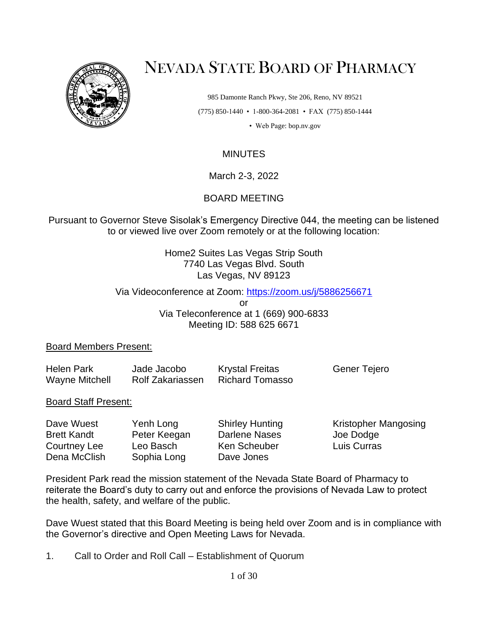

# NEVADA STATE BOARD OF PHARMACY

985 Damonte Ranch Pkwy, Ste 206, Reno, NV 89521 (775) 850-1440 • 1-800-364-2081 • FAX (775) 850-1444

• Web Page: bop.nv.gov

## **MINUTES**

March 2-3, 2022

## BOARD MEETING

Pursuant to Governor Steve Sisolak's Emergency Directive 044, the meeting can be listened to or viewed live over Zoom remotely or at the following location:

> Home2 Suites Las Vegas Strip South 7740 Las Vegas Blvd. South Las Vegas, NV 89123

## Via Videoconference at Zoom:<https://zoom.us/j/5886256671>

or

Via Teleconference at 1 (669) 900-6833 Meeting ID: 588 625 6671

## Board Members Present:

| <b>Helen Park</b>     | Jade Jacobo      | <b>Krystal Freitas</b> | Gener Tejero |
|-----------------------|------------------|------------------------|--------------|
| <b>Wayne Mitchell</b> | Rolf Zakariassen | Richard Tomasso        |              |

## Board Staff Present:

| Dave Wuest         | Yenh Long    | <b>Shirley Hunting</b> | Kristopher Mangosing |
|--------------------|--------------|------------------------|----------------------|
| <b>Brett Kandt</b> | Peter Keegan | Darlene Nases          | Joe Dodge            |
| Courtney Lee       | Leo Basch    | <b>Ken Scheuber</b>    | Luis Curras          |
| Dena McClish       | Sophia Long  | Dave Jones             |                      |

President Park read the mission statement of the Nevada State Board of Pharmacy to reiterate the Board's duty to carry out and enforce the provisions of Nevada Law to protect the health, safety, and welfare of the public.

Dave Wuest stated that this Board Meeting is being held over Zoom and is in compliance with the Governor's directive and Open Meeting Laws for Nevada.

1. Call to Order and Roll Call – Establishment of Quorum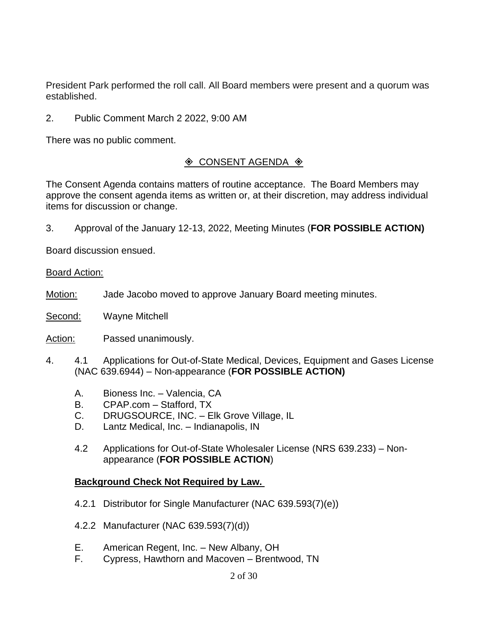President Park performed the roll call. All Board members were present and a quorum was established.

2. Public Comment March 2 2022, 9:00 AM

There was no public comment.

## $\Diamond$  CONSENT AGENDA  $\Diamond$

The Consent Agenda contains matters of routine acceptance. The Board Members may approve the consent agenda items as written or, at their discretion, may address individual items for discussion or change.

3. Approval of the January 12-13, 2022, Meeting Minutes (**FOR POSSIBLE ACTION)**

Board discussion ensued.

Board Action:

Motion: Jade Jacobo moved to approve January Board meeting minutes.

Second: Wayne Mitchell

Action: Passed unanimously.

- 4. 4.1 Applications for Out-of-State Medical, Devices, Equipment and Gases License (NAC 639.6944) – Non-appearance (**FOR POSSIBLE ACTION)**
	- A. Bioness Inc. Valencia, CA
	- B. CPAP.com Stafford, TX
	- C. DRUGSOURCE, INC. Elk Grove Village, IL
	- D. Lantz Medical, Inc. Indianapolis, IN
	- 4.2 Applications for Out-of-State Wholesaler License (NRS 639.233) Nonappearance (**FOR POSSIBLE ACTION**)

## **Background Check Not Required by Law.**

- 4.2.1 Distributor for Single Manufacturer (NAC 639.593(7)(e))
- 4.2.2 Manufacturer (NAC 639.593(7)(d))
- E. American Regent, Inc. New Albany, OH<br>F. Cvoress. Hawthorn and Macoven Brenty
- Cypress, Hawthorn and Macoven Brentwood, TN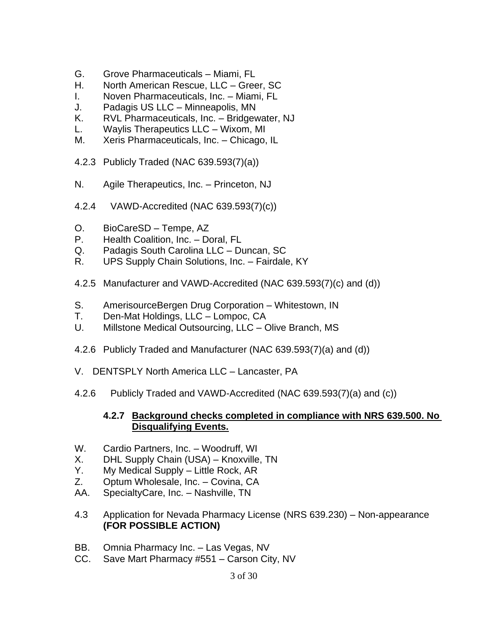- G. Grove Pharmaceuticals Miami, FL
- H. North American Rescue, LLC Greer, SC
- I. Noven Pharmaceuticals, Inc. Miami, FL
- J. Padagis US LLC Minneapolis, MN
- K. RVL Pharmaceuticals, Inc. Bridgewater, NJ
- L. Waylis Therapeutics LLC Wixom, MI
- M. Xeris Pharmaceuticals, Inc. Chicago, IL
- 4.2.3 Publicly Traded (NAC 639.593(7)(a))
- N. Agile Therapeutics, Inc. Princeton, NJ
- 4.2.4 VAWD-Accredited (NAC 639.593(7)(c))
- O. BioCareSD Tempe, AZ
- P. Health Coalition, Inc. Doral, FL
- Q. Padagis South Carolina LLC Duncan, SC
- R. UPS Supply Chain Solutions, Inc. Fairdale, KY
- 4.2.5 Manufacturer and VAWD-Accredited (NAC 639.593(7)(c) and (d))
- S. AmerisourceBergen Drug Corporation Whitestown, IN
- T. Den-Mat Holdings, LLC Lompoc, CA
- U. Millstone Medical Outsourcing, LLC Olive Branch, MS
- 4.2.6 Publicly Traded and Manufacturer (NAC 639.593(7)(a) and (d))
- V. DENTSPLY North America LLC Lancaster, PA
- 4.2.6 Publicly Traded and VAWD-Accredited (NAC 639.593(7)(a) and (c))

## **4.2.7 Background checks completed in compliance with NRS 639.500. No Disqualifying Events.**

- W. Cardio Partners, Inc. Woodruff, WI
- X. DHL Supply Chain (USA) Knoxville, TN
- Y. My Medical Supply Little Rock, AR
- Z. Optum Wholesale, Inc. Covina, CA
- AA. SpecialtyCare, Inc. Nashville, TN
- 4.3 Application for Nevada Pharmacy License (NRS 639.230) Non-appearance **(FOR POSSIBLE ACTION)**
- BB. Omnia Pharmacy Inc. Las Vegas, NV
- CC. Save Mart Pharmacy #551 Carson City, NV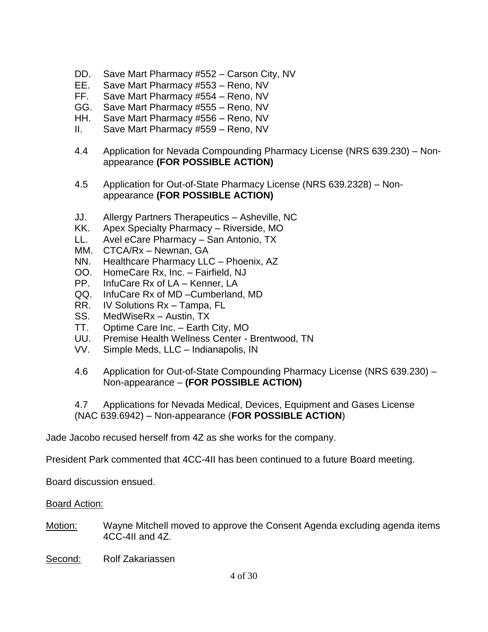- DD. Save Mart Pharmacy #552 Carson City, NV
- EE. Save Mart Pharmacy #553 Reno, NV
- FF. Save Mart Pharmacy #554 Reno, NV
- GG. Save Mart Pharmacy #555 Reno, NV
- HH. Save Mart Pharmacy #556 Reno, NV
- II. Save Mart Pharmacy #559 Reno, NV
- 4.4 Application for Nevada Compounding Pharmacy License (NRS 639.230) Nonappearance **(FOR POSSIBLE ACTION)**
- 4.5 Application for Out-of-State Pharmacy License (NRS 639.2328) Nonappearance **(FOR POSSIBLE ACTION)**
- JJ. Allergy Partners Therapeutics Asheville, NC
- KK. Apex Specialty Pharmacy Riverside, MO
- LL. Avel eCare Pharmacy San Antonio, TX
- MM. CTCA/Rx Newnan, GA
- NN. Healthcare Pharmacy LLC Phoenix, AZ
- OO. HomeCare Rx, Inc. Fairfield, NJ
- PP. InfuCare Rx of LA Kenner, LA
- QQ. InfuCare Rx of MD –Cumberland, MD
- RR. IV Solutions Rx Tampa, FL
- SS. MedWiseRx Austin, TX
- TT. Optime Care Inc. Earth City, MO
- UU. Premise Health Wellness Center Brentwood, TN
- VV. Simple Meds, LLC Indianapolis, IN
- 4.6 Application for Out-of-State Compounding Pharmacy License (NRS 639.230) Non-appearance – **(FOR POSSIBLE ACTION)**

4.7 Applications for Nevada Medical, Devices, Equipment and Gases License (NAC 639.6942) – Non-appearance (**FOR POSSIBLE ACTION**)

Jade Jacobo recused herself from 4Z as she works for the company.

President Park commented that 4CC-4II has been continued to a future Board meeting.

Board discussion ensued.

- Motion: Wayne Mitchell moved to approve the Consent Agenda excluding agenda items 4CC-4II and 4Z.
- Second: Rolf Zakariassen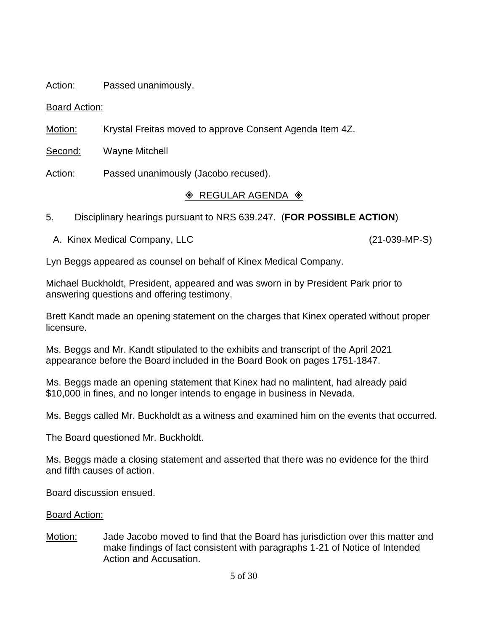## Action: Passed unanimously.

## Board Action:

Motion: Krystal Freitas moved to approve Consent Agenda Item 4Z.

Second: Wayne Mitchell

Action: Passed unanimously (Jacobo recused).

# $\Diamond$  REGULAR AGENDA  $\Diamond$

- 5. Disciplinary hearings pursuant to NRS 639.247. (**FOR POSSIBLE ACTION**)
	- A. Kinex Medical Company, LLC (21-039-MP-S)

Lyn Beggs appeared as counsel on behalf of Kinex Medical Company.

Michael Buckholdt, President, appeared and was sworn in by President Park prior to answering questions and offering testimony.

Brett Kandt made an opening statement on the charges that Kinex operated without proper licensure.

Ms. Beggs and Mr. Kandt stipulated to the exhibits and transcript of the April 2021 appearance before the Board included in the Board Book on pages 1751-1847.

Ms. Beggs made an opening statement that Kinex had no malintent, had already paid \$10,000 in fines, and no longer intends to engage in business in Nevada.

Ms. Beggs called Mr. Buckholdt as a witness and examined him on the events that occurred.

The Board questioned Mr. Buckholdt.

Ms. Beggs made a closing statement and asserted that there was no evidence for the third and fifth causes of action.

Board discussion ensued.

## Board Action:

Motion: Jade Jacobo moved to find that the Board has jurisdiction over this matter and make findings of fact consistent with paragraphs 1-21 of Notice of Intended Action and Accusation.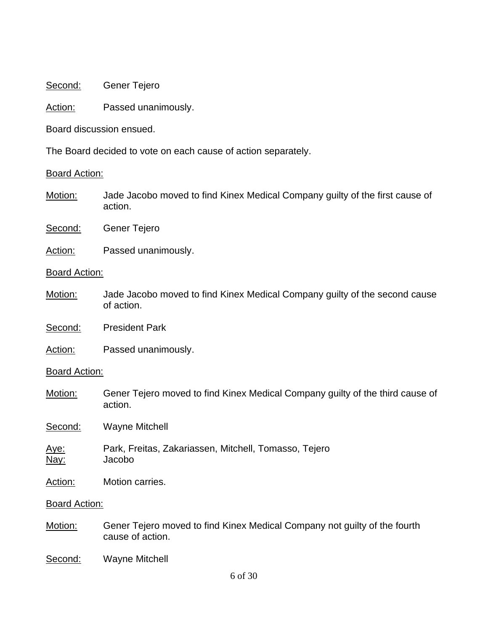Second: Gener Tejero

Action: Passed unanimously.

Board discussion ensued.

The Board decided to vote on each cause of action separately.

#### Board Action:

- Motion: Jade Jacobo moved to find Kinex Medical Company guilty of the first cause of action.
- Second: Gener Tejero
- Action: Passed unanimously.

## Board Action:

Motion: Jade Jacobo moved to find Kinex Medical Company guilty of the second cause of action.

Second: President Park

Action: Passed unanimously.

## **Board Action:**

Motion: Gener Tejero moved to find Kinex Medical Company guilty of the third cause of action.

Second: Wayne Mitchell

- Aye: Park, Freitas, Zakariassen, Mitchell, Tomasso, Tejero Nay: Jacobo
- Action: Motion carries.

- Motion: Gener Tejero moved to find Kinex Medical Company not guilty of the fourth cause of action.
- Second: Wayne Mitchell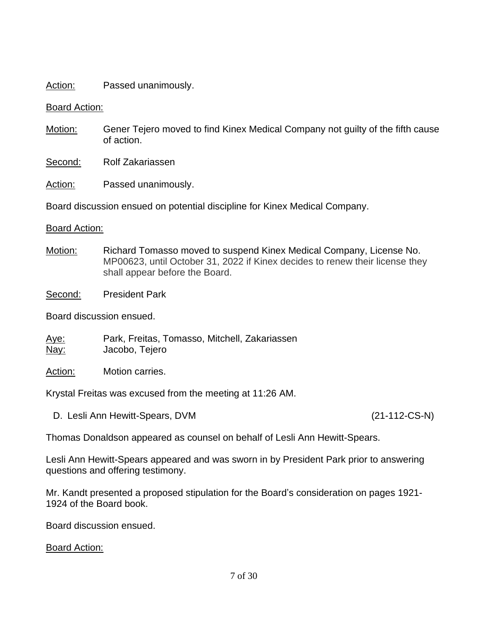## Action: Passed unanimously.

## Board Action:

- Motion: Gener Tejero moved to find Kinex Medical Company not guilty of the fifth cause of action.
- Second: Rolf Zakariassen

Action: Passed unanimously.

Board discussion ensued on potential discipline for Kinex Medical Company.

## Board Action:

Motion: Richard Tomasso moved to suspend Kinex Medical Company, License No. MP00623, until October 31, 2022 if Kinex decides to renew their license they shall appear before the Board.

Second: President Park

Board discussion ensued.

Aye: Park, Freitas, Tomasso, Mitchell, Zakariassen Nay: Jacobo, Tejero

Action: Motion carries.

Krystal Freitas was excused from the meeting at 11:26 AM.

D. Lesli Ann Hewitt-Spears, DVM (21-112-CS-N)

Thomas Donaldson appeared as counsel on behalf of Lesli Ann Hewitt-Spears.

Lesli Ann Hewitt-Spears appeared and was sworn in by President Park prior to answering questions and offering testimony.

Mr. Kandt presented a proposed stipulation for the Board's consideration on pages 1921- 1924 of the Board book.

Board discussion ensued.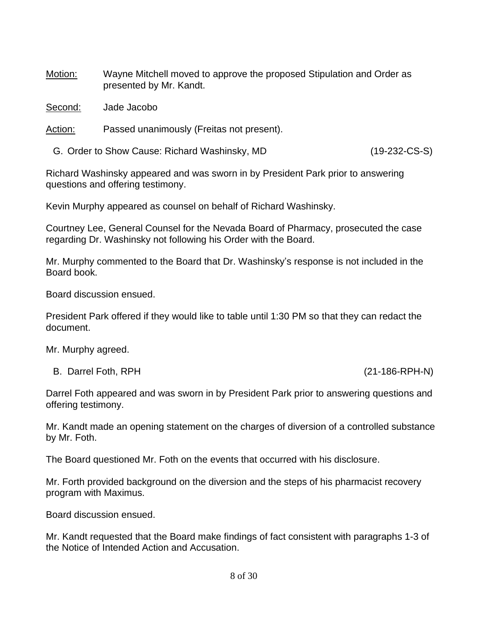Motion: Wayne Mitchell moved to approve the proposed Stipulation and Order as presented by Mr. Kandt.

Second: Jade Jacobo

Action: Passed unanimously (Freitas not present).

G. Order to Show Cause: Richard Washinsky, MD (19-232-CS-S)

Richard Washinsky appeared and was sworn in by President Park prior to answering questions and offering testimony.

Kevin Murphy appeared as counsel on behalf of Richard Washinsky.

Courtney Lee, General Counsel for the Nevada Board of Pharmacy, prosecuted the case regarding Dr. Washinsky not following his Order with the Board.

Mr. Murphy commented to the Board that Dr. Washinsky's response is not included in the Board book.

Board discussion ensued.

President Park offered if they would like to table until 1:30 PM so that they can redact the document.

Mr. Murphy agreed.

B. Darrel Foth, RPH (21-186-RPH-N)

Darrel Foth appeared and was sworn in by President Park prior to answering questions and offering testimony.

Mr. Kandt made an opening statement on the charges of diversion of a controlled substance by Mr. Foth.

The Board questioned Mr. Foth on the events that occurred with his disclosure.

Mr. Forth provided background on the diversion and the steps of his pharmacist recovery program with Maximus.

Board discussion ensued.

Mr. Kandt requested that the Board make findings of fact consistent with paragraphs 1-3 of the Notice of Intended Action and Accusation.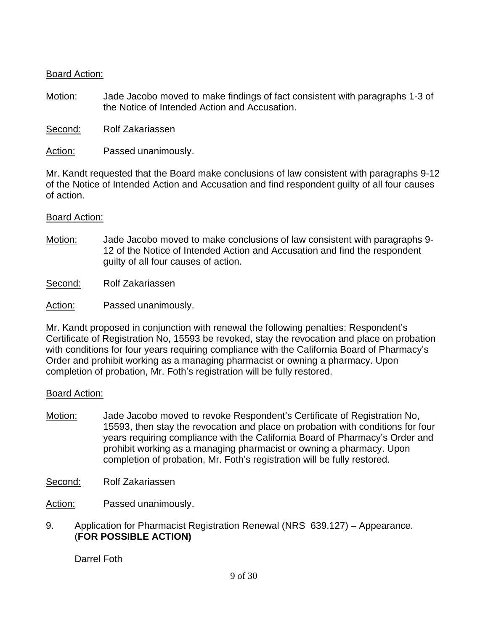## Board Action:

Motion: Jade Jacobo moved to make findings of fact consistent with paragraphs 1-3 of the Notice of Intended Action and Accusation.

Second: Rolf Zakariassen

Action: Passed unanimously.

Mr. Kandt requested that the Board make conclusions of law consistent with paragraphs 9-12 of the Notice of Intended Action and Accusation and find respondent guilty of all four causes of action.

## Board Action:

- Motion: Jade Jacobo moved to make conclusions of law consistent with paragraphs 9- 12 of the Notice of Intended Action and Accusation and find the respondent guilty of all four causes of action.
- Second: Rolf Zakariassen
- Action: Passed unanimously.

Mr. Kandt proposed in conjunction with renewal the following penalties: Respondent's Certificate of Registration No, 15593 be revoked, stay the revocation and place on probation with conditions for four years requiring compliance with the California Board of Pharmacy's Order and prohibit working as a managing pharmacist or owning a pharmacy. Upon completion of probation, Mr. Foth's registration will be fully restored.

## Board Action:

Motion: Jade Jacobo moved to revoke Respondent's Certificate of Registration No, 15593, then stay the revocation and place on probation with conditions for four years requiring compliance with the California Board of Pharmacy's Order and prohibit working as a managing pharmacist or owning a pharmacy. Upon completion of probation, Mr. Foth's registration will be fully restored.

Second: Rolf Zakariassen

Action: Passed unanimously.

9. Application for Pharmacist Registration Renewal (NRS 639.127) – Appearance. (**FOR POSSIBLE ACTION)**

Darrel Foth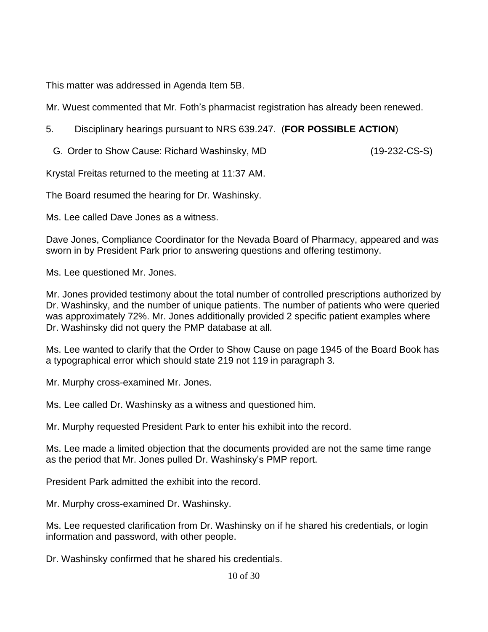This matter was addressed in Agenda Item 5B.

Mr. Wuest commented that Mr. Foth's pharmacist registration has already been renewed.

5. Disciplinary hearings pursuant to NRS 639.247. (**FOR POSSIBLE ACTION**)

G. Order to Show Cause: Richard Washinsky, MD (19-232-CS-S)

Krystal Freitas returned to the meeting at 11:37 AM.

The Board resumed the hearing for Dr. Washinsky.

Ms. Lee called Dave Jones as a witness.

Dave Jones, Compliance Coordinator for the Nevada Board of Pharmacy, appeared and was sworn in by President Park prior to answering questions and offering testimony.

Ms. Lee questioned Mr. Jones.

Mr. Jones provided testimony about the total number of controlled prescriptions authorized by Dr. Washinsky, and the number of unique patients. The number of patients who were queried was approximately 72%. Mr. Jones additionally provided 2 specific patient examples where Dr. Washinsky did not query the PMP database at all.

Ms. Lee wanted to clarify that the Order to Show Cause on page 1945 of the Board Book has a typographical error which should state 219 not 119 in paragraph 3.

Mr. Murphy cross-examined Mr. Jones.

Ms. Lee called Dr. Washinsky as a witness and questioned him.

Mr. Murphy requested President Park to enter his exhibit into the record.

Ms. Lee made a limited objection that the documents provided are not the same time range as the period that Mr. Jones pulled Dr. Washinsky's PMP report.

President Park admitted the exhibit into the record.

Mr. Murphy cross-examined Dr. Washinsky.

Ms. Lee requested clarification from Dr. Washinsky on if he shared his credentials, or login information and password, with other people.

Dr. Washinsky confirmed that he shared his credentials.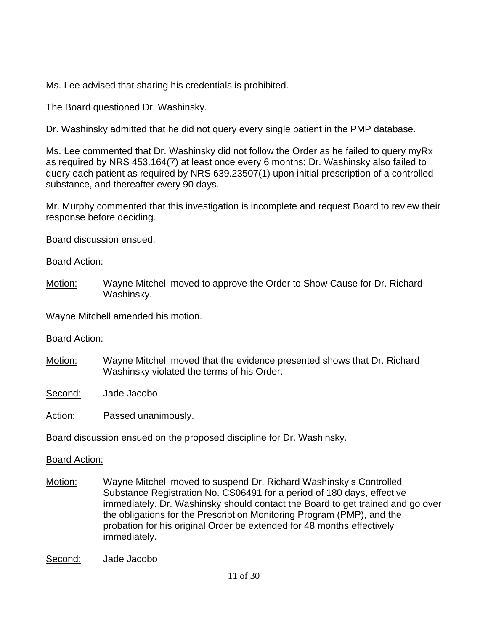Ms. Lee advised that sharing his credentials is prohibited.

The Board questioned Dr. Washinsky.

Dr. Washinsky admitted that he did not query every single patient in the PMP database.

Ms. Lee commented that Dr. Washinsky did not follow the Order as he failed to query myRx as required by NRS 453.164(7) at least once every 6 months; Dr. Washinsky also failed to query each patient as required by NRS 639.23507(1) upon initial prescription of a controlled substance, and thereafter every 90 days.

Mr. Murphy commented that this investigation is incomplete and request Board to review their response before deciding.

Board discussion ensued.

## Board Action:

Motion: Wayne Mitchell moved to approve the Order to Show Cause for Dr. Richard Washinsky.

Wayne Mitchell amended his motion.

# Board Action:

Motion: Wayne Mitchell moved that the evidence presented shows that Dr. Richard Washinsky violated the terms of his Order.

Second: Jade Jacobo

Action: Passed unanimously.

Board discussion ensued on the proposed discipline for Dr. Washinsky.

- Motion: Wayne Mitchell moved to suspend Dr. Richard Washinsky's Controlled Substance Registration No. CS06491 for a period of 180 days, effective immediately. Dr. Washinsky should contact the Board to get trained and go over the obligations for the Prescription Monitoring Program (PMP), and the probation for his original Order be extended for 48 months effectively immediately.
- Second: Jade Jacobo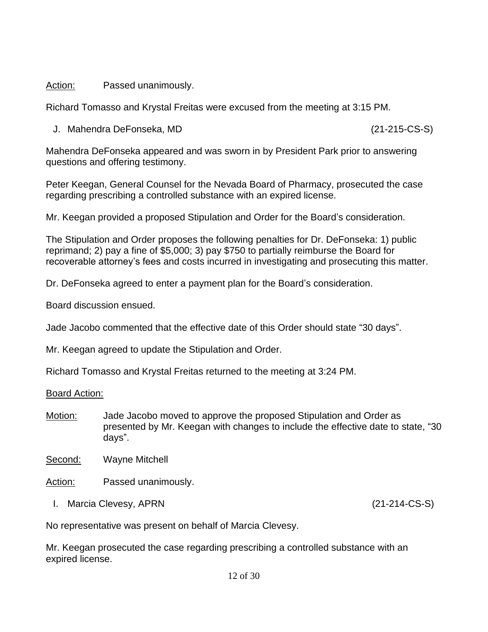## Action: Passed unanimously.

Richard Tomasso and Krystal Freitas were excused from the meeting at 3:15 PM.

J. Mahendra DeFonseka, MD (21-215-CS-S)

Mahendra DeFonseka appeared and was sworn in by President Park prior to answering questions and offering testimony.

Peter Keegan, General Counsel for the Nevada Board of Pharmacy, prosecuted the case regarding prescribing a controlled substance with an expired license.

Mr. Keegan provided a proposed Stipulation and Order for the Board's consideration.

The Stipulation and Order proposes the following penalties for Dr. DeFonseka: 1) public reprimand; 2) pay a fine of \$5,000; 3) pay \$750 to partially reimburse the Board for recoverable attorney's fees and costs incurred in investigating and prosecuting this matter.

Dr. DeFonseka agreed to enter a payment plan for the Board's consideration.

Board discussion ensued.

Jade Jacobo commented that the effective date of this Order should state "30 days".

Mr. Keegan agreed to update the Stipulation and Order.

Richard Tomasso and Krystal Freitas returned to the meeting at 3:24 PM.

Board Action:

Motion: Jade Jacobo moved to approve the proposed Stipulation and Order as presented by Mr. Keegan with changes to include the effective date to state, "30 days".

Second: Wayne Mitchell

Action: Passed unanimously.

I. Marcia Clevesy, APRN (21-214-CS-S)

No representative was present on behalf of Marcia Clevesy.

Mr. Keegan prosecuted the case regarding prescribing a controlled substance with an expired license.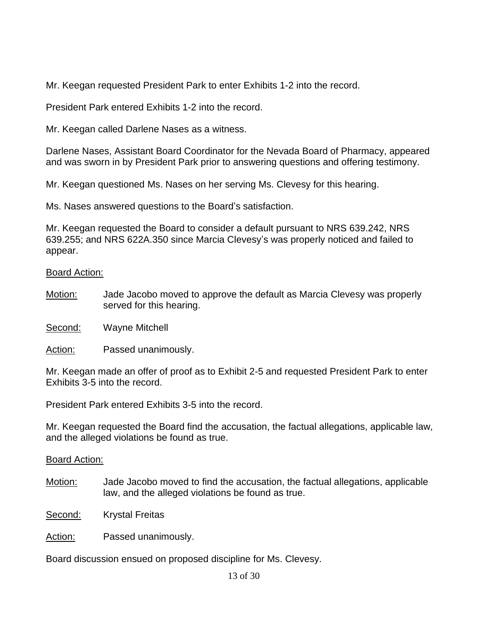Mr. Keegan requested President Park to enter Exhibits 1-2 into the record.

President Park entered Exhibits 1-2 into the record.

Mr. Keegan called Darlene Nases as a witness.

Darlene Nases, Assistant Board Coordinator for the Nevada Board of Pharmacy, appeared and was sworn in by President Park prior to answering questions and offering testimony.

Mr. Keegan questioned Ms. Nases on her serving Ms. Clevesy for this hearing.

Ms. Nases answered questions to the Board's satisfaction.

Mr. Keegan requested the Board to consider a default pursuant to NRS 639.242, NRS 639.255; and NRS 622A.350 since Marcia Clevesy's was properly noticed and failed to appear.

## Board Action:

Motion: Jade Jacobo moved to approve the default as Marcia Clevesy was properly served for this hearing.

Second: Wayne Mitchell

Action: Passed unanimously.

Mr. Keegan made an offer of proof as to Exhibit 2-5 and requested President Park to enter Exhibits 3-5 into the record.

President Park entered Exhibits 3-5 into the record.

Mr. Keegan requested the Board find the accusation, the factual allegations, applicable law, and the alleged violations be found as true.

## Board Action:

Motion: Jade Jacobo moved to find the accusation, the factual allegations, applicable law, and the alleged violations be found as true.

Second: Krystal Freitas

Action: Passed unanimously.

Board discussion ensued on proposed discipline for Ms. Clevesy.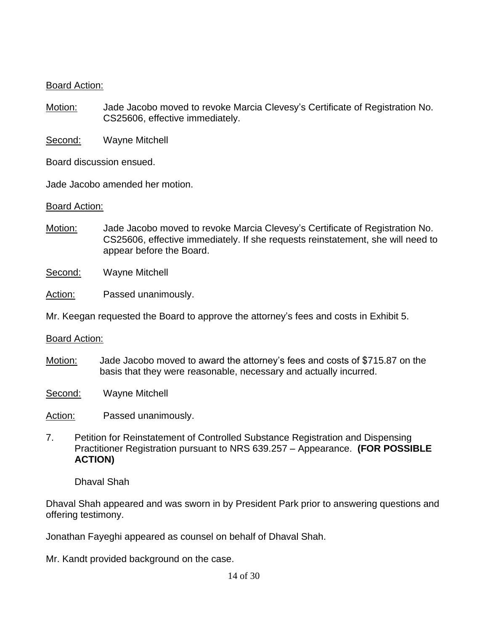## Board Action:

Motion: Jade Jacobo moved to revoke Marcia Clevesy's Certificate of Registration No. CS25606, effective immediately.

Second: Wayne Mitchell

Board discussion ensued.

Jade Jacobo amended her motion.

## Board Action:

Motion: Jade Jacobo moved to revoke Marcia Clevesy's Certificate of Registration No. CS25606, effective immediately. If she requests reinstatement, she will need to appear before the Board.

Second: Wayne Mitchell

Action: Passed unanimously.

Mr. Keegan requested the Board to approve the attorney's fees and costs in Exhibit 5.

Board Action:

Motion: Jade Jacobo moved to award the attorney's fees and costs of \$715.87 on the basis that they were reasonable, necessary and actually incurred.

Second: Wayne Mitchell

Action: Passed unanimously.

7. Petition for Reinstatement of Controlled Substance Registration and Dispensing Practitioner Registration pursuant to NRS 639.257 – Appearance. **(FOR POSSIBLE ACTION)**

Dhaval Shah

Dhaval Shah appeared and was sworn in by President Park prior to answering questions and offering testimony.

Jonathan Fayeghi appeared as counsel on behalf of Dhaval Shah.

Mr. Kandt provided background on the case.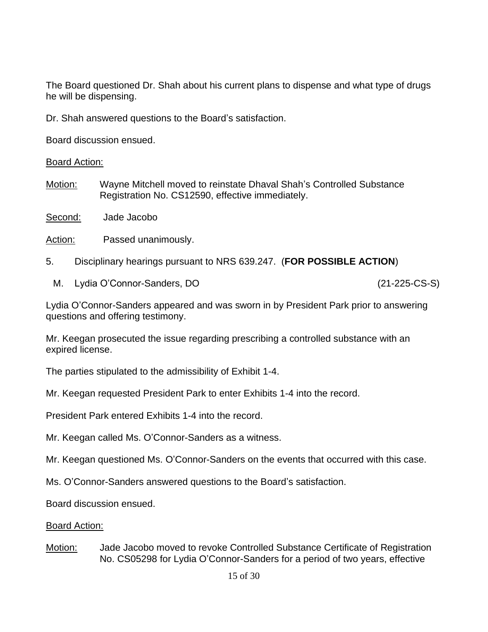The Board questioned Dr. Shah about his current plans to dispense and what type of drugs he will be dispensing.

Dr. Shah answered questions to the Board's satisfaction.

Board discussion ensued.

Board Action:

Motion: Wayne Mitchell moved to reinstate Dhaval Shah's Controlled Substance Registration No. CS12590, effective immediately.

Second: Jade Jacobo

Action: Passed unanimously.

- 5. Disciplinary hearings pursuant to NRS 639.247. (**FOR POSSIBLE ACTION**)
	- M. Lydia O'Connor-Sanders, DO (21-225-CS-S)

Lydia O'Connor-Sanders appeared and was sworn in by President Park prior to answering questions and offering testimony.

Mr. Keegan prosecuted the issue regarding prescribing a controlled substance with an expired license.

The parties stipulated to the admissibility of Exhibit 1-4.

Mr. Keegan requested President Park to enter Exhibits 1-4 into the record.

President Park entered Exhibits 1-4 into the record.

Mr. Keegan called Ms. O'Connor-Sanders as a witness.

Mr. Keegan questioned Ms. O'Connor-Sanders on the events that occurred with this case.

Ms. O'Connor-Sanders answered questions to the Board's satisfaction.

Board discussion ensued.

## Board Action:

Motion: Jade Jacobo moved to revoke Controlled Substance Certificate of Registration No. CS05298 for Lydia O'Connor-Sanders for a period of two years, effective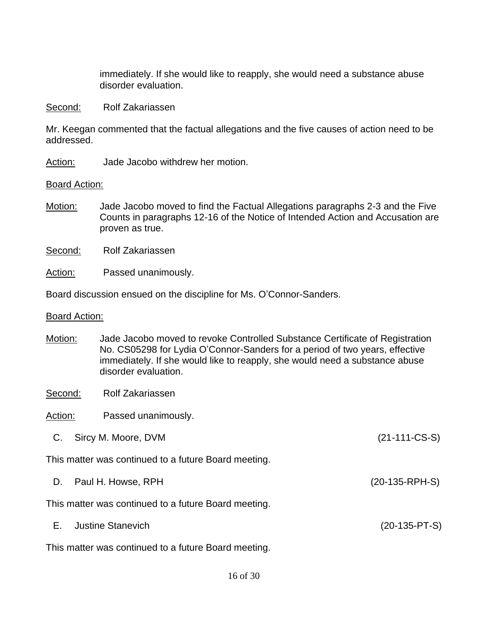immediately. If she would like to reapply, she would need a substance abuse disorder evaluation.

#### Second: Rolf Zakariassen

Mr. Keegan commented that the factual allegations and the five causes of action need to be addressed.

Action: Jade Jacobo withdrew her motion.

## Board Action:

Motion: Jade Jacobo moved to find the Factual Allegations paragraphs 2-3 and the Five Counts in paragraphs 12-16 of the Notice of Intended Action and Accusation are proven as true.

Second: Rolf Zakariassen

Action: Passed unanimously.

Board discussion ensued on the discipline for Ms. O'Connor-Sanders.

#### Board Action:

- Motion: Jade Jacobo moved to revoke Controlled Substance Certificate of Registration No. CS05298 for Lydia O'Connor-Sanders for a period of two years, effective immediately. If she would like to reapply, she would need a substance abuse disorder evaluation.
- Second: Rolf Zakariassen
- Action: Passed unanimously.
- C. Sircy M. Moore, DVM (21-111-CS-S)

This matter was continued to a future Board meeting.

D. Paul H. Howse, RPH (20-135-RPH-S)

This matter was continued to a future Board meeting.

E. Justine Stanevich (20-135-PT-S)

This matter was continued to a future Board meeting.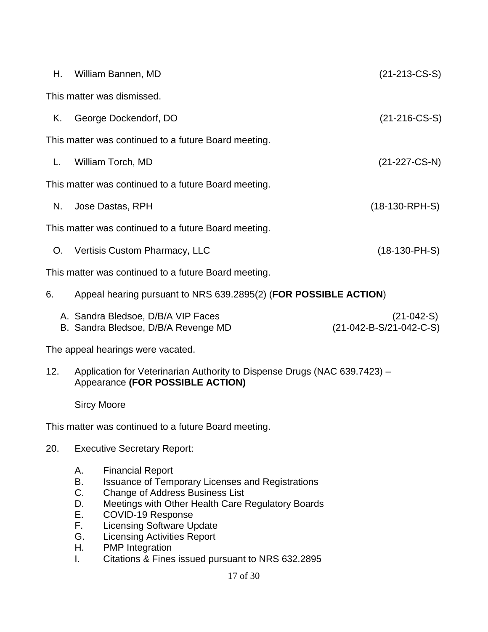| Н.  | $(21-213-CS-S)$<br>William Bannen, MD                                                                         |                                         |  |
|-----|---------------------------------------------------------------------------------------------------------------|-----------------------------------------|--|
|     | This matter was dismissed.                                                                                    |                                         |  |
| Κ.  | $(21-216$ -CS-S)<br>George Dockendorf, DO                                                                     |                                         |  |
|     | This matter was continued to a future Board meeting.                                                          |                                         |  |
| L.  | William Torch, MD<br>$(21-227-CS-N)$                                                                          |                                         |  |
|     | This matter was continued to a future Board meeting.                                                          |                                         |  |
| N.  | Jose Dastas, RPH                                                                                              | $(18-130-RPH-S)$                        |  |
|     | This matter was continued to a future Board meeting.                                                          |                                         |  |
|     | $(18-130-PH-S)$<br>O. Vertisis Custom Pharmacy, LLC                                                           |                                         |  |
|     | This matter was continued to a future Board meeting.                                                          |                                         |  |
| 6.  | Appeal hearing pursuant to NRS 639.2895(2) (FOR POSSIBLE ACTION)                                              |                                         |  |
|     | A. Sandra Bledsoe, D/B/A VIP Faces<br>B. Sandra Bledsoe, D/B/A Revenge MD                                     | $(21-042-S)$<br>(21-042-B-S/21-042-C-S) |  |
|     | The appeal hearings were vacated.                                                                             |                                         |  |
| 12. | Application for Veterinarian Authority to Dispense Drugs (NAC 639.7423) -<br>Appearance (FOR POSSIBLE ACTION) |                                         |  |

Sircy Moore

This matter was continued to a future Board meeting.

- 20. Executive Secretary Report:
	- A. Financial Report
	- B. Issuance of Temporary Licenses and Registrations
	- C. Change of Address Business List
	- D. Meetings with Other Health Care Regulatory Boards
	- E. COVID-19 Response
	- F. Licensing Software Update
	- G. Licensing Activities Report
	- H. PMP Integration
	- I. Citations & Fines issued pursuant to NRS 632.2895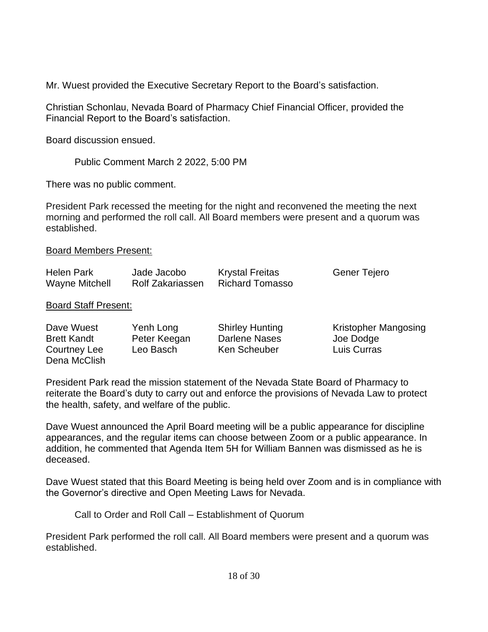Mr. Wuest provided the Executive Secretary Report to the Board's satisfaction.

Christian Schonlau, Nevada Board of Pharmacy Chief Financial Officer, provided the Financial Report to the Board's satisfaction.

Board discussion ensued.

Public Comment March 2 2022, 5:00 PM

There was no public comment.

President Park recessed the meeting for the night and reconvened the meeting the next morning and performed the roll call. All Board members were present and a quorum was established.

## Board Members Present:

| <b>Helen Park</b>     | Jade Jacobo      | <b>Krystal Freitas</b> | Gener Tejero |
|-----------------------|------------------|------------------------|--------------|
| <b>Wayne Mitchell</b> | Rolf Zakariassen | Richard Tomasso        |              |

## Board Staff Present:

| Dave Wuest         | Yenh Long    | <b>Shirley Hunting</b> | Kristopher Mangosing |
|--------------------|--------------|------------------------|----------------------|
| <b>Brett Kandt</b> | Peter Keegan | Darlene Nases          | Joe Dodge            |
| Courtney Lee       | Leo Basch    | Ken Scheuber           | Luis Curras          |
| Dena McClish       |              |                        |                      |

President Park read the mission statement of the Nevada State Board of Pharmacy to reiterate the Board's duty to carry out and enforce the provisions of Nevada Law to protect the health, safety, and welfare of the public.

Dave Wuest announced the April Board meeting will be a public appearance for discipline appearances, and the regular items can choose between Zoom or a public appearance. In addition, he commented that Agenda Item 5H for William Bannen was dismissed as he is deceased.

Dave Wuest stated that this Board Meeting is being held over Zoom and is in compliance with the Governor's directive and Open Meeting Laws for Nevada.

Call to Order and Roll Call – Establishment of Quorum

President Park performed the roll call. All Board members were present and a quorum was established.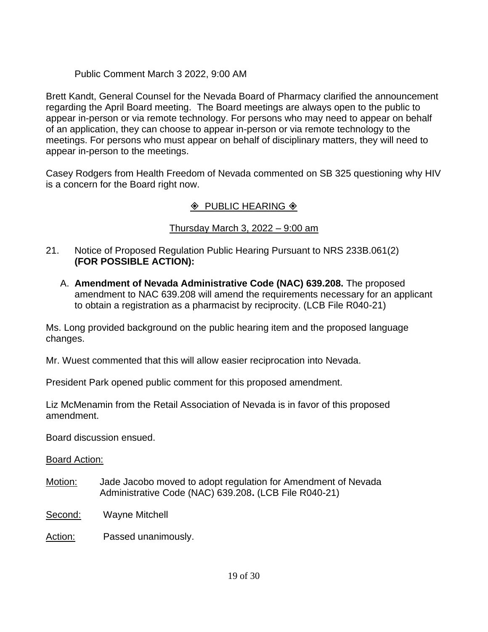## Public Comment March 3 2022, 9:00 AM

Brett Kandt, General Counsel for the Nevada Board of Pharmacy clarified the announcement regarding the April Board meeting. The Board meetings are always open to the public to appear in-person or via remote technology. For persons who may need to appear on behalf of an application, they can choose to appear in-person or via remote technology to the meetings. For persons who must appear on behalf of disciplinary matters, they will need to appear in-person to the meetings.

Casey Rodgers from Health Freedom of Nevada commented on SB 325 questioning why HIV is a concern for the Board right now.

# $\Diamond$  PUBLIC HEARING  $\Diamond$

# Thursday March 3, 2022 – 9:00 am

- 21. Notice of Proposed Regulation Public Hearing Pursuant to NRS 233B.061(2) **(FOR POSSIBLE ACTION):**
	- A. **Amendment of Nevada Administrative Code (NAC) 639.208.** The proposed amendment to NAC 639.208 will amend the requirements necessary for an applicant to obtain a registration as a pharmacist by reciprocity. (LCB File R040-21)

Ms. Long provided background on the public hearing item and the proposed language changes.

Mr. Wuest commented that this will allow easier reciprocation into Nevada.

President Park opened public comment for this proposed amendment.

Liz McMenamin from the Retail Association of Nevada is in favor of this proposed amendment.

Board discussion ensued.

- Motion: Jade Jacobo moved to adopt regulation for Amendment of Nevada Administrative Code (NAC) 639.208**.** (LCB File R040-21)
- Second: Wayne Mitchell
- Action: Passed unanimously.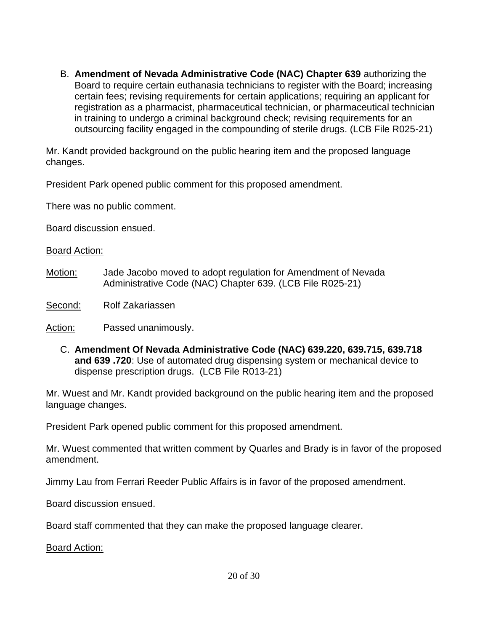B. **Amendment of Nevada Administrative Code (NAC) Chapter 639** authorizing the Board to require certain euthanasia technicians to register with the Board; increasing certain fees; revising requirements for certain applications; requiring an applicant for registration as a pharmacist, pharmaceutical technician, or pharmaceutical technician in training to undergo a criminal background check; revising requirements for an outsourcing facility engaged in the compounding of sterile drugs. (LCB File R025-21)

Mr. Kandt provided background on the public hearing item and the proposed language changes.

President Park opened public comment for this proposed amendment.

There was no public comment.

Board discussion ensued.

## Board Action:

- Motion: Jade Jacobo moved to adopt regulation for Amendment of Nevada Administrative Code (NAC) Chapter 639. (LCB File R025-21)
- Second: Rolf Zakariassen

Action: Passed unanimously.

C. **Amendment Of Nevada Administrative Code (NAC) 639.220, 639.715, 639.718 and 639 .720**: Use of automated drug dispensing system or mechanical device to dispense prescription drugs. (LCB File R013-21)

Mr. Wuest and Mr. Kandt provided background on the public hearing item and the proposed language changes.

President Park opened public comment for this proposed amendment.

Mr. Wuest commented that written comment by Quarles and Brady is in favor of the proposed amendment.

Jimmy Lau from Ferrari Reeder Public Affairs is in favor of the proposed amendment.

Board discussion ensued.

Board staff commented that they can make the proposed language clearer.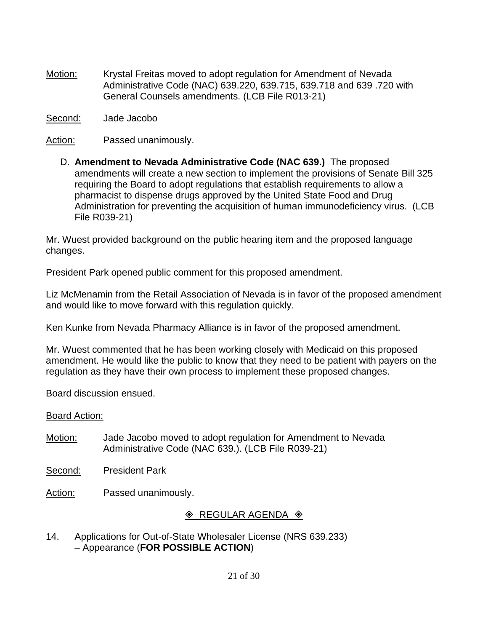Motion: Krystal Freitas moved to adopt regulation for Amendment of Nevada Administrative Code (NAC) 639.220, 639.715, 639.718 and 639 .720 with General Counsels amendments. (LCB File R013-21)

Second: Jade Jacobo

Action: Passed unanimously.

D. **Amendment to Nevada Administrative Code (NAC 639.)** The proposed amendments will create a new section to implement the provisions of Senate Bill 325 requiring the Board to adopt regulations that establish requirements to allow a pharmacist to dispense drugs approved by the United State Food and Drug Administration for preventing the acquisition of human immunodeficiency virus. (LCB File R039-21)

Mr. Wuest provided background on the public hearing item and the proposed language changes.

President Park opened public comment for this proposed amendment.

Liz McMenamin from the Retail Association of Nevada is in favor of the proposed amendment and would like to move forward with this regulation quickly.

Ken Kunke from Nevada Pharmacy Alliance is in favor of the proposed amendment.

Mr. Wuest commented that he has been working closely with Medicaid on this proposed amendment. He would like the public to know that they need to be patient with payers on the regulation as they have their own process to implement these proposed changes.

Board discussion ensued.

## Board Action:

- Motion: Jade Jacobo moved to adopt regulation for Amendment to Nevada Administrative Code (NAC 639.). (LCB File R039-21)
- Second: President Park

Action: Passed unanimously.

# $\Diamond$  REGULAR AGENDA  $\Diamond$

14. Applications for Out-of-State Wholesaler License (NRS 639.233) – Appearance (**FOR POSSIBLE ACTION**)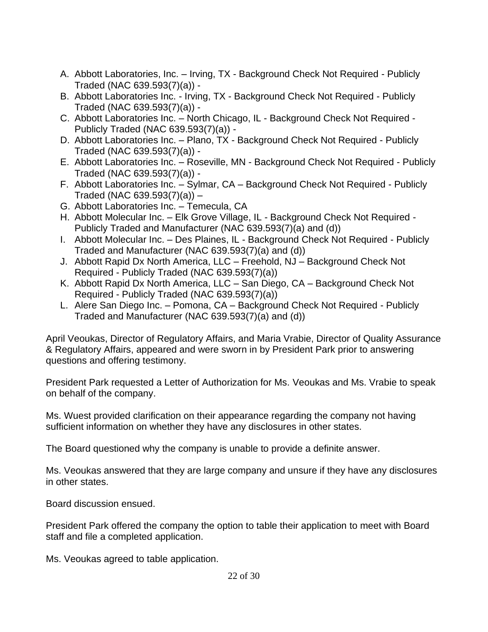- A. Abbott Laboratories, Inc. Irving, TX Background Check Not Required Publicly Traded (NAC 639.593(7)(a)) -
- B. Abbott Laboratories Inc. Irving, TX Background Check Not Required Publicly Traded (NAC 639.593(7)(a)) -
- C. Abbott Laboratories Inc. North Chicago, IL Background Check Not Required Publicly Traded (NAC 639.593(7)(a)) -
- D. Abbott Laboratories Inc. Plano, TX Background Check Not Required Publicly Traded (NAC 639.593(7)(a)) -
- E. Abbott Laboratories Inc. Roseville, MN Background Check Not Required Publicly Traded (NAC 639.593(7)(a)) -
- F. Abbott Laboratories Inc. Sylmar, CA Background Check Not Required Publicly Traded (NAC 639.593(7)(a)) –
- G. Abbott Laboratories Inc. Temecula, CA
- H. Abbott Molecular Inc. Elk Grove Village, IL Background Check Not Required Publicly Traded and Manufacturer (NAC 639.593(7)(a) and (d))
- I. Abbott Molecular Inc. Des Plaines, IL Background Check Not Required Publicly Traded and Manufacturer (NAC 639.593(7)(a) and (d))
- J. Abbott Rapid Dx North America, LLC Freehold, NJ Background Check Not Required - Publicly Traded (NAC 639.593(7)(a))
- K. Abbott Rapid Dx North America, LLC San Diego, CA Background Check Not Required - Publicly Traded (NAC 639.593(7)(a))
- L. Alere San Diego Inc. Pomona, CA Background Check Not Required Publicly Traded and Manufacturer (NAC 639.593(7)(a) and (d))

April Veoukas, Director of Regulatory Affairs, and Maria Vrabie, Director of Quality Assurance & Regulatory Affairs, appeared and were sworn in by President Park prior to answering questions and offering testimony.

President Park requested a Letter of Authorization for Ms. Veoukas and Ms. Vrabie to speak on behalf of the company.

Ms. Wuest provided clarification on their appearance regarding the company not having sufficient information on whether they have any disclosures in other states.

The Board questioned why the company is unable to provide a definite answer.

Ms. Veoukas answered that they are large company and unsure if they have any disclosures in other states.

Board discussion ensued.

President Park offered the company the option to table their application to meet with Board staff and file a completed application.

Ms. Veoukas agreed to table application.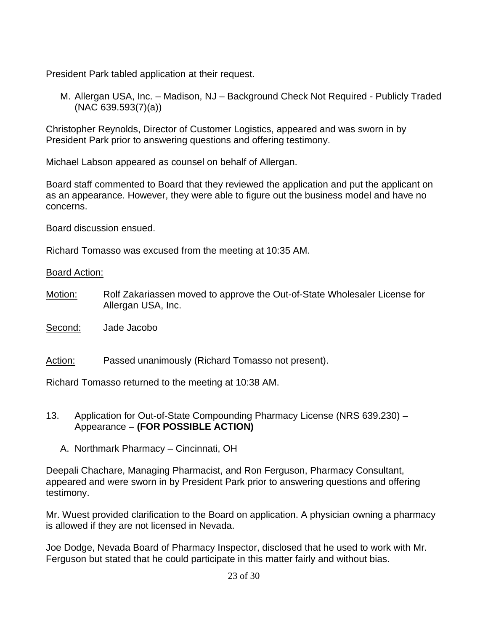President Park tabled application at their request.

M. Allergan USA, Inc. – Madison, NJ – Background Check Not Required - Publicly Traded (NAC 639.593(7)(a))

Christopher Reynolds, Director of Customer Logistics, appeared and was sworn in by President Park prior to answering questions and offering testimony.

Michael Labson appeared as counsel on behalf of Allergan.

Board staff commented to Board that they reviewed the application and put the applicant on as an appearance. However, they were able to figure out the business model and have no concerns.

Board discussion ensued.

Richard Tomasso was excused from the meeting at 10:35 AM.

Board Action:

Motion: Rolf Zakariassen moved to approve the Out-of-State Wholesaler License for Allergan USA, Inc.

Second: Jade Jacobo

Action: Passed unanimously (Richard Tomasso not present).

Richard Tomasso returned to the meeting at 10:38 AM.

## 13. Application for Out-of-State Compounding Pharmacy License (NRS 639.230) – Appearance – **(FOR POSSIBLE ACTION)**

A. Northmark Pharmacy – Cincinnati, OH

Deepali Chachare, Managing Pharmacist, and Ron Ferguson, Pharmacy Consultant, appeared and were sworn in by President Park prior to answering questions and offering testimony.

Mr. Wuest provided clarification to the Board on application. A physician owning a pharmacy is allowed if they are not licensed in Nevada.

Joe Dodge, Nevada Board of Pharmacy Inspector, disclosed that he used to work with Mr. Ferguson but stated that he could participate in this matter fairly and without bias.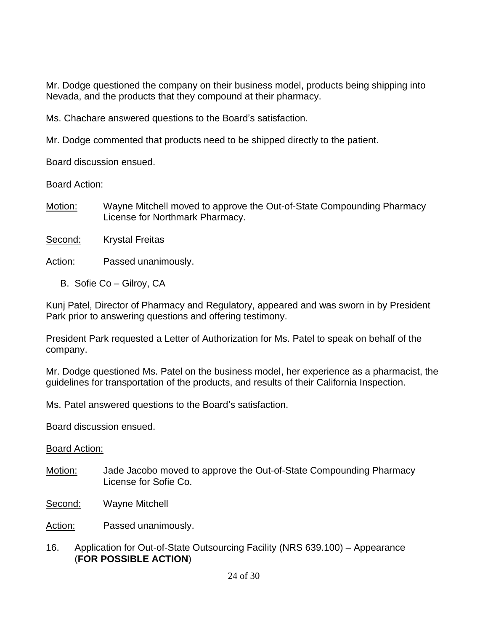Mr. Dodge questioned the company on their business model, products being shipping into Nevada, and the products that they compound at their pharmacy.

Ms. Chachare answered questions to the Board's satisfaction.

Mr. Dodge commented that products need to be shipped directly to the patient.

Board discussion ensued.

Board Action:

- Motion: Wayne Mitchell moved to approve the Out-of-State Compounding Pharmacy License for Northmark Pharmacy.
- Second: Krystal Freitas
- Action: Passed unanimously.
	- B. Sofie Co Gilroy, CA

Kunj Patel, Director of Pharmacy and Regulatory, appeared and was sworn in by President Park prior to answering questions and offering testimony.

President Park requested a Letter of Authorization for Ms. Patel to speak on behalf of the company.

Mr. Dodge questioned Ms. Patel on the business model, her experience as a pharmacist, the guidelines for transportation of the products, and results of their California Inspection.

Ms. Patel answered questions to the Board's satisfaction.

Board discussion ensued.

Board Action:

- Motion: Jade Jacobo moved to approve the Out-of-State Compounding Pharmacy License for Sofie Co.
- Second: Wayne Mitchell

Action: Passed unanimously.

16. Application for Out-of-State Outsourcing Facility (NRS 639.100) – Appearance (**FOR POSSIBLE ACTION**)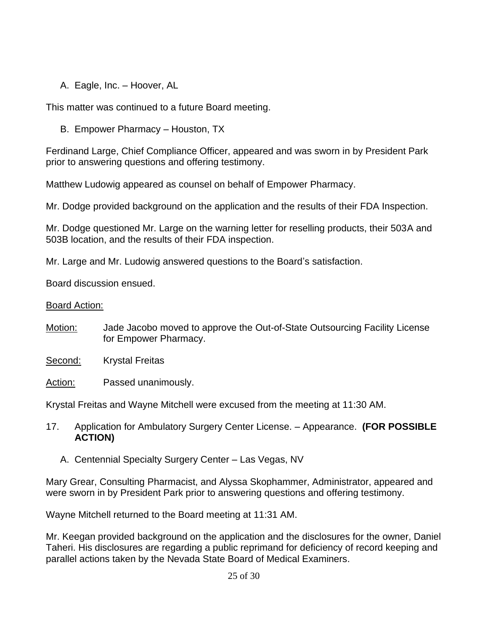A. Eagle, Inc. – Hoover, AL

This matter was continued to a future Board meeting.

B. Empower Pharmacy – Houston, TX

Ferdinand Large, Chief Compliance Officer, appeared and was sworn in by President Park prior to answering questions and offering testimony.

Matthew Ludowig appeared as counsel on behalf of Empower Pharmacy.

Mr. Dodge provided background on the application and the results of their FDA Inspection.

Mr. Dodge questioned Mr. Large on the warning letter for reselling products, their 503A and 503B location, and the results of their FDA inspection.

Mr. Large and Mr. Ludowig answered questions to the Board's satisfaction.

Board discussion ensued.

## Board Action:

- Motion: Jade Jacobo moved to approve the Out-of-State Outsourcing Facility License for Empower Pharmacy.
- Second: Krystal Freitas
- Action: Passed unanimously.

Krystal Freitas and Wayne Mitchell were excused from the meeting at 11:30 AM.

- 17. Application for Ambulatory Surgery Center License. Appearance. **(FOR POSSIBLE ACTION)**
	- A. Centennial Specialty Surgery Center Las Vegas, NV

Mary Grear, Consulting Pharmacist, and Alyssa Skophammer, Administrator, appeared and were sworn in by President Park prior to answering questions and offering testimony.

Wayne Mitchell returned to the Board meeting at 11:31 AM.

Mr. Keegan provided background on the application and the disclosures for the owner, Daniel Taheri. His disclosures are regarding a public reprimand for deficiency of record keeping and parallel actions taken by the Nevada State Board of Medical Examiners.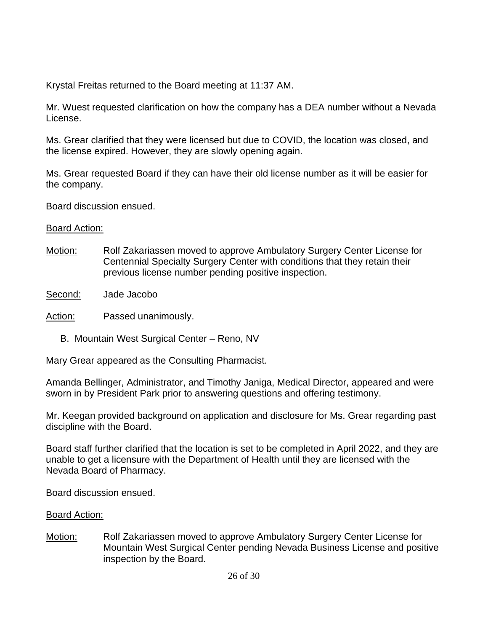Krystal Freitas returned to the Board meeting at 11:37 AM.

Mr. Wuest requested clarification on how the company has a DEA number without a Nevada License.

Ms. Grear clarified that they were licensed but due to COVID, the location was closed, and the license expired. However, they are slowly opening again.

Ms. Grear requested Board if they can have their old license number as it will be easier for the company.

Board discussion ensued.

## Board Action:

- Motion: Rolf Zakariassen moved to approve Ambulatory Surgery Center License for Centennial Specialty Surgery Center with conditions that they retain their previous license number pending positive inspection.
- Second: Jade Jacobo

Action: Passed unanimously.

B. Mountain West Surgical Center – Reno, NV

Mary Grear appeared as the Consulting Pharmacist.

Amanda Bellinger, Administrator, and Timothy Janiga, Medical Director, appeared and were sworn in by President Park prior to answering questions and offering testimony.

Mr. Keegan provided background on application and disclosure for Ms. Grear regarding past discipline with the Board.

Board staff further clarified that the location is set to be completed in April 2022, and they are unable to get a licensure with the Department of Health until they are licensed with the Nevada Board of Pharmacy.

Board discussion ensued.

# Board Action:

Motion: Rolf Zakariassen moved to approve Ambulatory Surgery Center License for Mountain West Surgical Center pending Nevada Business License and positive inspection by the Board.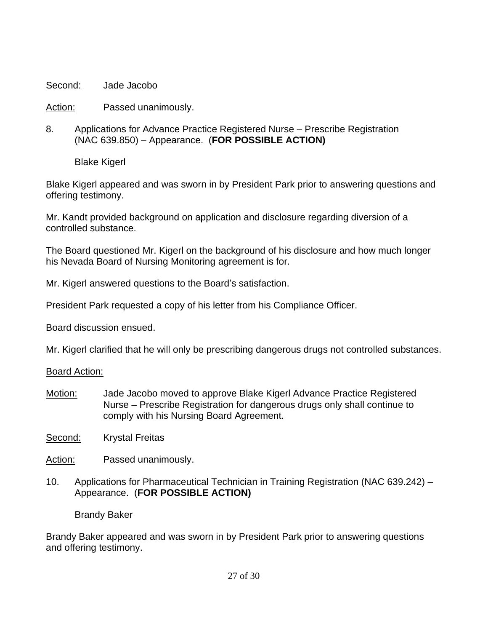Second: Jade Jacobo

Action: Passed unanimously.

8. Applications for Advance Practice Registered Nurse – Prescribe Registration (NAC 639.850) – Appearance. (**FOR POSSIBLE ACTION)**

Blake Kigerl

Blake Kigerl appeared and was sworn in by President Park prior to answering questions and offering testimony.

Mr. Kandt provided background on application and disclosure regarding diversion of a controlled substance.

The Board questioned Mr. Kigerl on the background of his disclosure and how much longer his Nevada Board of Nursing Monitoring agreement is for.

Mr. Kigerl answered questions to the Board's satisfaction.

President Park requested a copy of his letter from his Compliance Officer.

Board discussion ensued.

Mr. Kigerl clarified that he will only be prescribing dangerous drugs not controlled substances.

Board Action:

- Motion: Jade Jacobo moved to approve Blake Kigerl Advance Practice Registered Nurse – Prescribe Registration for dangerous drugs only shall continue to comply with his Nursing Board Agreement.
- Second: Krystal Freitas
- Action: Passed unanimously.
- 10. Applications for Pharmaceutical Technician in Training Registration (NAC 639.242) Appearance. (**FOR POSSIBLE ACTION)**

Brandy Baker

Brandy Baker appeared and was sworn in by President Park prior to answering questions and offering testimony.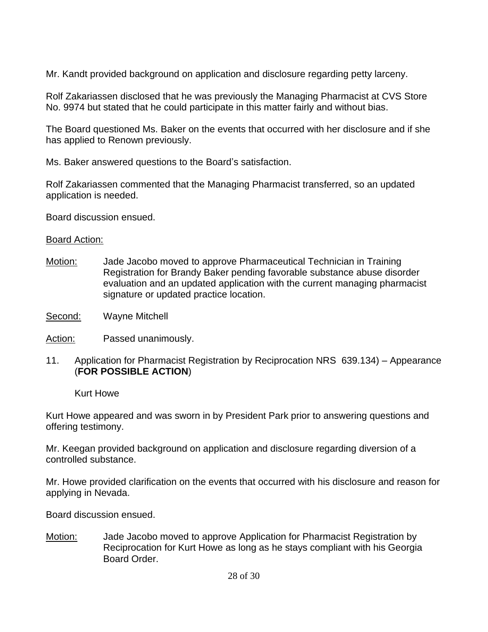Mr. Kandt provided background on application and disclosure regarding petty larceny.

Rolf Zakariassen disclosed that he was previously the Managing Pharmacist at CVS Store No. 9974 but stated that he could participate in this matter fairly and without bias.

The Board questioned Ms. Baker on the events that occurred with her disclosure and if she has applied to Renown previously.

Ms. Baker answered questions to the Board's satisfaction.

Rolf Zakariassen commented that the Managing Pharmacist transferred, so an updated application is needed.

Board discussion ensued.

## Board Action:

- Motion: Jade Jacobo moved to approve Pharmaceutical Technician in Training Registration for Brandy Baker pending favorable substance abuse disorder evaluation and an updated application with the current managing pharmacist signature or updated practice location.
- Second: Wayne Mitchell
- Action: Passed unanimously.
- 11. Application for Pharmacist Registration by Reciprocation NRS 639.134) Appearance (**FOR POSSIBLE ACTION**)

Kurt Howe

Kurt Howe appeared and was sworn in by President Park prior to answering questions and offering testimony.

Mr. Keegan provided background on application and disclosure regarding diversion of a controlled substance.

Mr. Howe provided clarification on the events that occurred with his disclosure and reason for applying in Nevada.

Board discussion ensued.

Motion: Jade Jacobo moved to approve Application for Pharmacist Registration by Reciprocation for Kurt Howe as long as he stays compliant with his Georgia Board Order.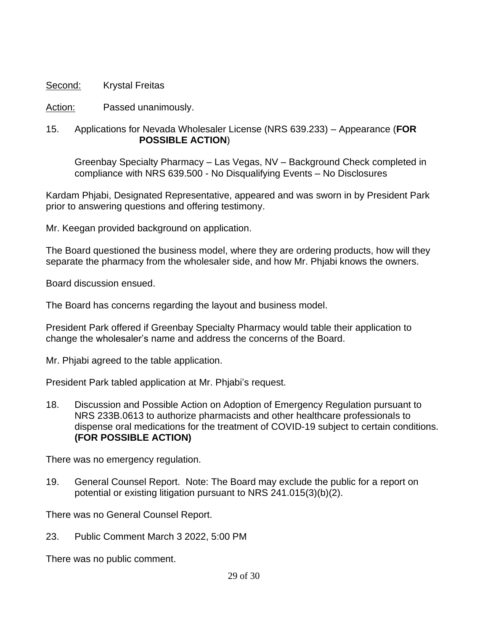## Second: Krystal Freitas

Action: Passed unanimously.

## 15. Applications for Nevada Wholesaler License (NRS 639.233) – Appearance (**FOR POSSIBLE ACTION**)

Greenbay Specialty Pharmacy – Las Vegas, NV – Background Check completed in compliance with NRS 639.500 - No Disqualifying Events – No Disclosures

Kardam Phjabi, Designated Representative, appeared and was sworn in by President Park prior to answering questions and offering testimony.

Mr. Keegan provided background on application.

The Board questioned the business model, where they are ordering products, how will they separate the pharmacy from the wholesaler side, and how Mr. Phjabi knows the owners.

Board discussion ensued.

The Board has concerns regarding the layout and business model.

President Park offered if Greenbay Specialty Pharmacy would table their application to change the wholesaler's name and address the concerns of the Board.

Mr. Phjabi agreed to the table application.

President Park tabled application at Mr. Phjabi's request.

18. Discussion and Possible Action on Adoption of Emergency Regulation pursuant to NRS 233B.0613 to authorize pharmacists and other healthcare professionals to dispense oral medications for the treatment of COVID-19 subject to certain conditions. **(FOR POSSIBLE ACTION)**

There was no emergency regulation.

19. General Counsel Report. Note: The Board may exclude the public for a report on potential or existing litigation pursuant to NRS 241.015(3)(b)(2).

There was no General Counsel Report.

23. Public Comment March 3 2022, 5:00 PM

There was no public comment.